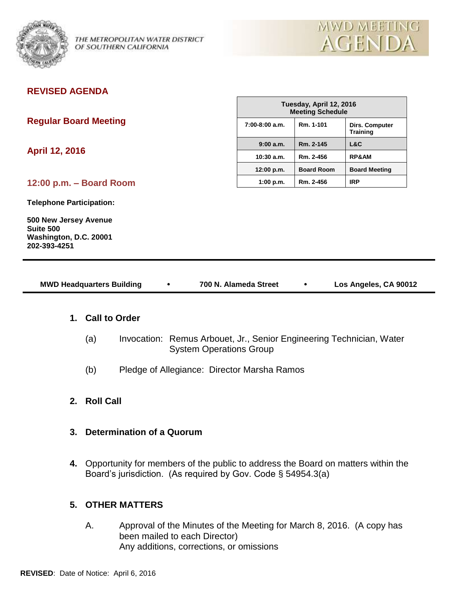

OF SOUTHERN CALIFORNIA

# **REVISED AGENDA**

**Regular Board Meeting** 

**April 12, 2016**

**12:00 p.m. – Board Room**

**Telephone Participation:**

**500 New Jersey Avenue Suite 500 Washington, D.C. 20001 202-393-4251**

| Tuesday, April 12, 2016<br><b>Meeting Schedule</b> |                   |                                          |  |  |
|----------------------------------------------------|-------------------|------------------------------------------|--|--|
| 7:00-8:00 a.m.                                     | Rm. 1-101         | <b>Dirs. Computer</b><br><b>Training</b> |  |  |
| 9:00a.m.                                           | Rm. 2-145         | L&C                                      |  |  |
| $10:30$ a.m.                                       | Rm. 2-456         | <b>RP&amp;AM</b>                         |  |  |
| 12:00 p.m.                                         | <b>Board Room</b> | <b>Board Meeting</b>                     |  |  |
| 1:00 p.m.                                          | Rm. 2-456         | <b>IRP</b>                               |  |  |

| <b>MWD Headquarters Building</b> | 700 N. Alameda Street | Los Angeles, CA 90012 |
|----------------------------------|-----------------------|-----------------------|
|                                  |                       |                       |

### **1. Call to Order**

- (a) Invocation: Remus Arbouet, Jr., Senior Engineering Technician, Water System Operations Group
- (b) Pledge of Allegiance: Director Marsha Ramos
- **2. Roll Call**
- **3. Determination of a Quorum**
- **4.** Opportunity for members of the public to address the Board on matters within the Board's jurisdiction. (As required by Gov. Code § 54954.3(a)

## **5. OTHER MATTERS**

A. Approval of the Minutes of the Meeting for March 8, 2016. (A copy has been mailed to each Director) Any additions, corrections, or omissions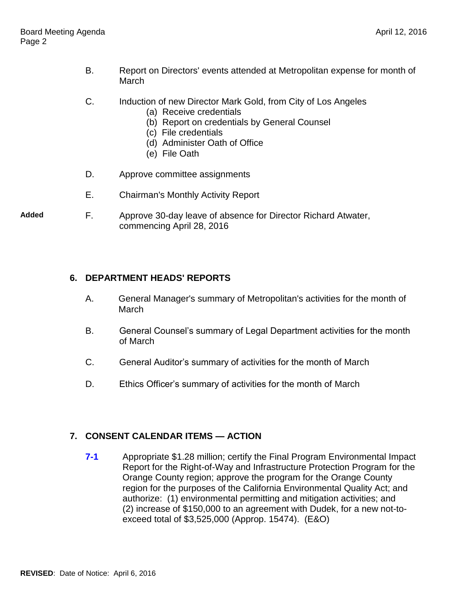- B. Report on Directors' events attended at Metropolitan expense for month of **March**
- C. Induction of new Director Mark Gold, from City of Los Angeles
	- (a) Receive credentials
	- (b) Report on credentials by General Counsel
	- (c) File credentials
	- (d) Administer Oath of Office
	- (e) File Oath
- D. Approve committee assignments
- E. Chairman's Monthly Activity Report
- **Added** F. Approve 30-day leave of absence for Director Richard Atwater, commencing April 28, 2016

#### **6. DEPARTMENT HEADS' REPORTS**

- A. General Manager's summary of Metropolitan's activities for the month of **March**
- B. General Counsel's summary of Legal Department activities for the month of March
- C. General Auditor's summary of activities for the month of March
- D. Ethics Officer's summary of activities for the month of March

## **7. CONSENT CALENDAR ITEMS — ACTION**

**7-1** Appropriate \$1.28 million; certify the Final Program Environmental Impact Report for the Right-of-Way and Infrastructure Protection Program for the Orange County region; approve the program for the Orange County region for the purposes of the California Environmental Quality Act; and authorize: (1) environmental permitting and mitigation activities; and (2) increase of \$150,000 to an agreement with Dudek, for a new not-toexceed total of \$3,525,000 (Approp. 15474). (E&O)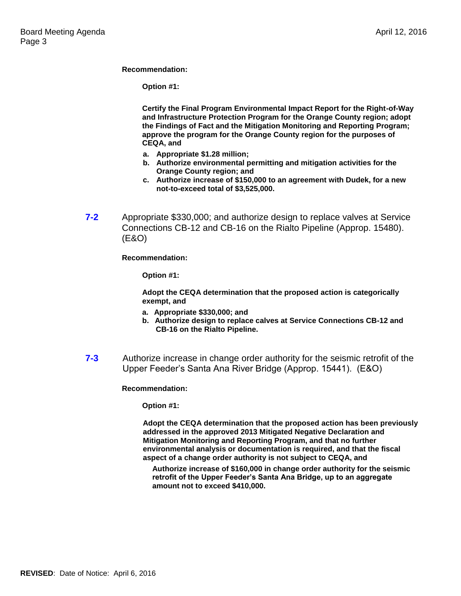#### **Recommendation:**

**Option #1:**

**Certify the Final Program Environmental Impact Report for the Right-of-Way and Infrastructure Protection Program for the Orange County region; adopt the Findings of Fact and the Mitigation Monitoring and Reporting Program; approve the program for the Orange County region for the purposes of CEQA, and** 

- **a. Appropriate \$1.28 million;**
- **b. Authorize environmental permitting and mitigation activities for the Orange County region; and**
- **c. Authorize increase of \$150,000 to an agreement with Dudek, for a new not-to-exceed total of \$3,525,000.**
- **7-2** Appropriate \$330,000; and authorize design to replace valves at Service Connections CB-12 and CB-16 on the Rialto Pipeline (Approp. 15480). (E&O)

**Recommendation:**

**Option #1:**

**Adopt the CEQA determination that the proposed action is categorically exempt, and**

- **a. Appropriate \$330,000; and**
- **b. Authorize design to replace calves at Service Connections CB-12 and CB-16 on the Rialto Pipeline.**
- **7-3** Authorize increase in change order authority for the seismic retrofit of the Upper Feeder's Santa Ana River Bridge (Approp. 15441). (E&O)

**Recommendation:**

**Option #1:**

**Adopt the CEQA determination that the proposed action has been previously addressed in the approved 2013 Mitigated Negative Declaration and Mitigation Monitoring and Reporting Program, and that no further environmental analysis or documentation is required, and that the fiscal aspect of a change order authority is not subject to CEQA, and**

**Authorize increase of \$160,000 in change order authority for the seismic retrofit of the Upper Feeder's Santa Ana Bridge, up to an aggregate amount not to exceed \$410,000.**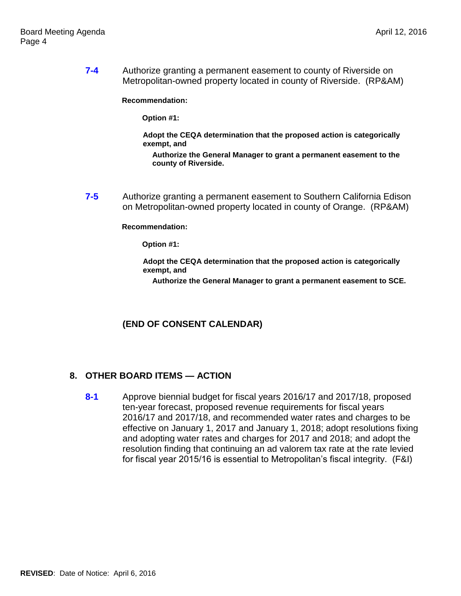**7-4** Authorize granting a permanent easement to county of Riverside on Metropolitan-owned property located in county of Riverside. (RP&AM)

**Recommendation:**

**Option #1:**

**Adopt the CEQA determination that the proposed action is categorically exempt, and**

**Authorize the General Manager to grant a permanent easement to the county of Riverside.**

**7-5** Authorize granting a permanent easement to Southern California Edison on Metropolitan-owned property located in county of Orange. (RP&AM)

**Recommendation:**

**Option #1:**

**Adopt the CEQA determination that the proposed action is categorically exempt, and**

**Authorize the General Manager to grant a permanent easement to SCE.**

## **(END OF CONSENT CALENDAR)**

#### **8. OTHER BOARD ITEMS — ACTION**

**8-1** Approve biennial budget for fiscal years 2016/17 and 2017/18, proposed ten-year forecast, proposed revenue requirements for fiscal years 2016/17 and 2017/18, and recommended water rates and charges to be effective on January 1, 2017 and January 1, 2018; adopt resolutions fixing and adopting water rates and charges for 2017 and 2018; and adopt the resolution finding that continuing an ad valorem tax rate at the rate levied for fiscal year 2015/16 is essential to Metropolitan's fiscal integrity. (F&I)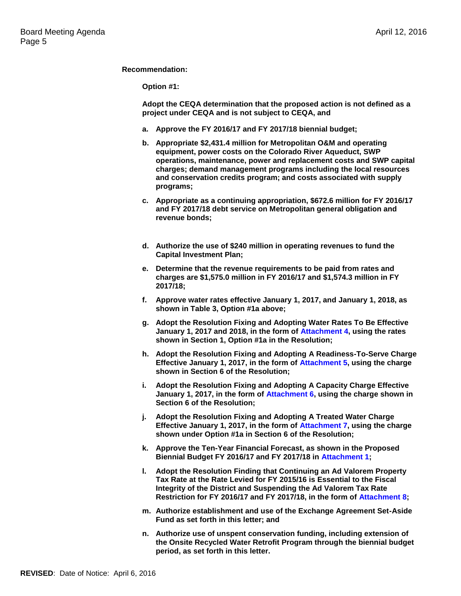#### **Recommendation:**

**Option #1:**

**Adopt the CEQA determination that the proposed action is not defined as a project under CEQA and is not subject to CEQA, and** 

- **a. Approve the FY 2016/17 and FY 2017/18 biennial budget;**
- **b. Appropriate \$2,431.4 million for Metropolitan O&M and operating equipment, power costs on the Colorado River Aqueduct, SWP operations, maintenance, power and replacement costs and SWP capital charges; demand management programs including the local resources and conservation credits program; and costs associated with supply programs;**
- **c. Appropriate as a continuing appropriation, \$672.6 million for FY 2016/17 and FY 2017/18 debt service on Metropolitan general obligation and revenue bonds;**
- **d. Authorize the use of \$240 million in operating revenues to fund the Capital Investment Plan;**
- **e. Determine that the revenue requirements to be paid from rates and charges are \$1,575.0 million in FY 2016/17 and \$1,574.3 million in FY 2017/18;**
- **f. Approve water rates effective January 1, 2017, and January 1, 2018, as shown in Table 3, Option #1a above;**
- **g. Adopt the Resolution Fixing and Adopting Water Rates To Be Effective January 1, 2017 and 2018, in the form of Attachment 4, using the rates shown in Section 1, Option #1a in the Resolution;**
- **h. Adopt the Resolution Fixing and Adopting A Readiness-To-Serve Charge Effective January 1, 2017, in the form of Attachment 5, using the charge shown in Section 6 of the Resolution;**
- **i. Adopt the Resolution Fixing and Adopting A Capacity Charge Effective January 1, 2017, in the form of Attachment 6, using the charge shown in Section 6 of the Resolution;**
- **j. Adopt the Resolution Fixing and Adopting A Treated Water Charge Effective January 1, 2017, in the form of Attachment 7, using the charge shown under Option #1a in Section 6 of the Resolution;**
- **k. Approve the Ten-Year Financial Forecast, as shown in the Proposed Biennial Budget FY 2016/17 and FY 2017/18 in Attachment 1;**
- **l. Adopt the Resolution Finding that Continuing an Ad Valorem Property Tax Rate at the Rate Levied for FY 2015/16 is Essential to the Fiscal Integrity of the District and Suspending the Ad Valorem Tax Rate Restriction for FY 2016/17 and FY 2017/18, in the form of Attachment 8;**
- **m. Authorize establishment and use of the Exchange Agreement Set-Aside Fund as set forth in this letter; and**
- **n. Authorize use of unspent conservation funding, including extension of the Onsite Recycled Water Retrofit Program through the biennial budget period, as set forth in this letter.**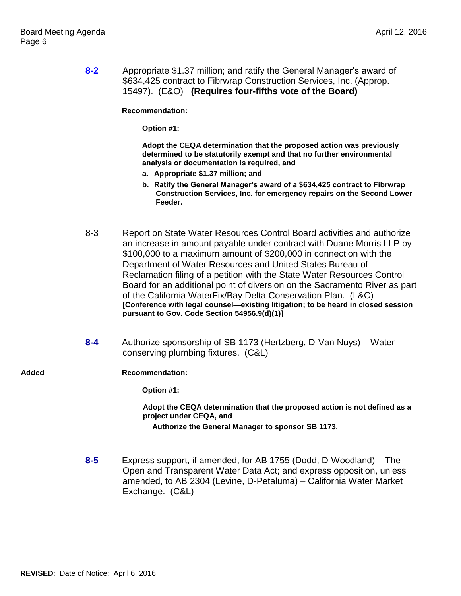**8-2** Appropriate \$1.37 million; and ratify the General Manager's award of \$634,425 contract to Fibrwrap Construction Services, Inc. (Approp. 15497). (E&O) **(Requires four-fifths vote of the Board)**

**Recommendation:**

**Option #1:**

**Adopt the CEQA determination that the proposed action was previously determined to be statutorily exempt and that no further environmental analysis or documentation is required, and**

- **a. Appropriate \$1.37 million; and**
- **b. Ratify the General Manager's award of a \$634,425 contract to Fibrwrap Construction Services, Inc. for emergency repairs on the Second Lower Feeder.**
- 8-3 Report on State Water Resources Control Board activities and authorize an increase in amount payable under contract with Duane Morris LLP by \$100,000 to a maximum amount of \$200,000 in connection with the Department of Water Resources and United States Bureau of Reclamation filing of a petition with the State Water Resources Control Board for an additional point of diversion on the Sacramento River as part of the California WaterFix/Bay Delta Conservation Plan. (L&C) **[Conference with legal counsel—existing litigation; to be heard in closed session pursuant to Gov. Code Section 54956.9(d)(1)]**
- **8-4** Authorize sponsorship of SB 1173 (Hertzberg, D-Van Nuys) Water conserving plumbing fixtures. (C&L)
- **Added Recommendation:**

**Option #1:**

**Adopt the CEQA determination that the proposed action is not defined as a project under CEQA, and**

**Authorize the General Manager to sponsor SB 1173.**

**8-5** Express support, if amended, for AB 1755 (Dodd, D-Woodland) – The Open and Transparent Water Data Act; and express opposition, unless amended, to AB 2304 (Levine, D-Petaluma) – California Water Market Exchange. (C&L)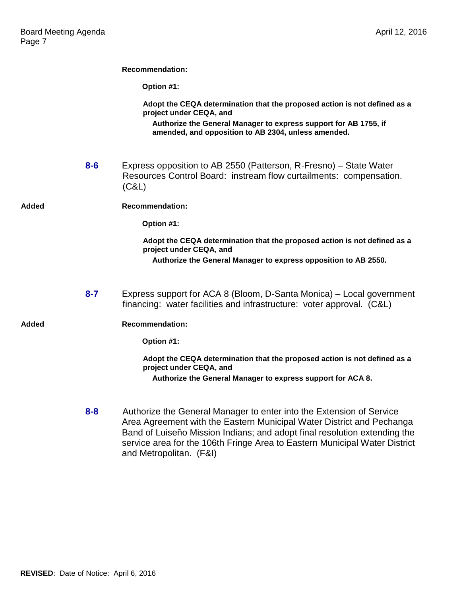|       |         | <b>Recommendation:</b>                                                                                                                                                                                                                                                                                   |
|-------|---------|----------------------------------------------------------------------------------------------------------------------------------------------------------------------------------------------------------------------------------------------------------------------------------------------------------|
|       |         | Option #1:                                                                                                                                                                                                                                                                                               |
|       |         | Adopt the CEQA determination that the proposed action is not defined as a<br>project under CEQA, and                                                                                                                                                                                                     |
|       |         | Authorize the General Manager to express support for AB 1755, if<br>amended, and opposition to AB 2304, unless amended.                                                                                                                                                                                  |
|       | $8 - 6$ | Express opposition to AB 2550 (Patterson, R-Fresno) – State Water<br>Resources Control Board: instream flow curtailments: compensation.<br>(C&L)                                                                                                                                                         |
| Added |         | <b>Recommendation:</b>                                                                                                                                                                                                                                                                                   |
|       |         | Option #1:                                                                                                                                                                                                                                                                                               |
|       |         | Adopt the CEQA determination that the proposed action is not defined as a<br>project under CEQA, and<br>Authorize the General Manager to express opposition to AB 2550.                                                                                                                                  |
|       |         |                                                                                                                                                                                                                                                                                                          |
|       | $8 - 7$ | Express support for ACA 8 (Bloom, D-Santa Monica) – Local government<br>financing: water facilities and infrastructure: voter approval. (C&L)                                                                                                                                                            |
| Added |         | <b>Recommendation:</b>                                                                                                                                                                                                                                                                                   |
|       |         | Option #1:                                                                                                                                                                                                                                                                                               |
|       |         | Adopt the CEQA determination that the proposed action is not defined as a<br>project under CEQA, and                                                                                                                                                                                                     |
|       |         | Authorize the General Manager to express support for ACA 8.                                                                                                                                                                                                                                              |
|       | $8 - 8$ | Authorize the General Manager to enter into the Extension of Service<br>Area Agreement with the Eastern Municipal Water District and Pechanga<br>Band of Luiseño Mission Indians; and adopt final resolution extending the<br>service area for the 106th Fringe Area to Eastern Municipal Water District |

and Metropolitan. (F&I)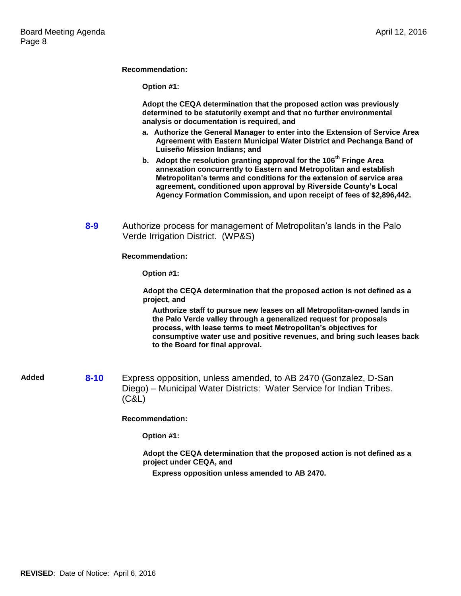**Recommendation:**

|       |          | Option #1:                                                                                                                                                                                                                                                                                                                                                                 |
|-------|----------|----------------------------------------------------------------------------------------------------------------------------------------------------------------------------------------------------------------------------------------------------------------------------------------------------------------------------------------------------------------------------|
|       |          | Adopt the CEQA determination that the proposed action was previously<br>determined to be statutorily exempt and that no further environmental<br>analysis or documentation is required, and                                                                                                                                                                                |
|       |          | a. Authorize the General Manager to enter into the Extension of Service Area<br>Agreement with Eastern Municipal Water District and Pechanga Band of<br>Luiseño Mission Indians; and                                                                                                                                                                                       |
|       |          | b. Adopt the resolution granting approval for the 106 <sup>th</sup> Fringe Area<br>annexation concurrently to Eastern and Metropolitan and establish<br>Metropolitan's terms and conditions for the extension of service area<br>agreement, conditioned upon approval by Riverside County's Local<br>Agency Formation Commission, and upon receipt of fees of \$2,896,442. |
|       | $8 - 9$  | Authorize process for management of Metropolitan's lands in the Palo<br>Verde Irrigation District. (WP&S)                                                                                                                                                                                                                                                                  |
|       |          | <b>Recommendation:</b>                                                                                                                                                                                                                                                                                                                                                     |
|       |          | Option #1:                                                                                                                                                                                                                                                                                                                                                                 |
|       |          | Adopt the CEQA determination that the proposed action is not defined as a<br>project, and                                                                                                                                                                                                                                                                                  |
|       |          | Authorize staff to pursue new leases on all Metropolitan-owned lands in<br>the Palo Verde valley through a generalized request for proposals<br>process, with lease terms to meet Metropolitan's objectives for<br>consumptive water use and positive revenues, and bring such leases back<br>to the Board for final approval.                                             |
| Added | $8 - 10$ | Express opposition, unless amended, to AB 2470 (Gonzalez, D-San<br>Diego) - Municipal Water Districts: Water Service for Indian Tribes.<br>(C&L)                                                                                                                                                                                                                           |
|       |          | <b>Recommendation:</b>                                                                                                                                                                                                                                                                                                                                                     |
|       |          | Option #1:                                                                                                                                                                                                                                                                                                                                                                 |
|       |          | Adopt the CEQA determination that the proposed action is not defined as a<br>project under CEQA, and                                                                                                                                                                                                                                                                       |
|       |          | Express opposition unless amended to AB 2470.                                                                                                                                                                                                                                                                                                                              |